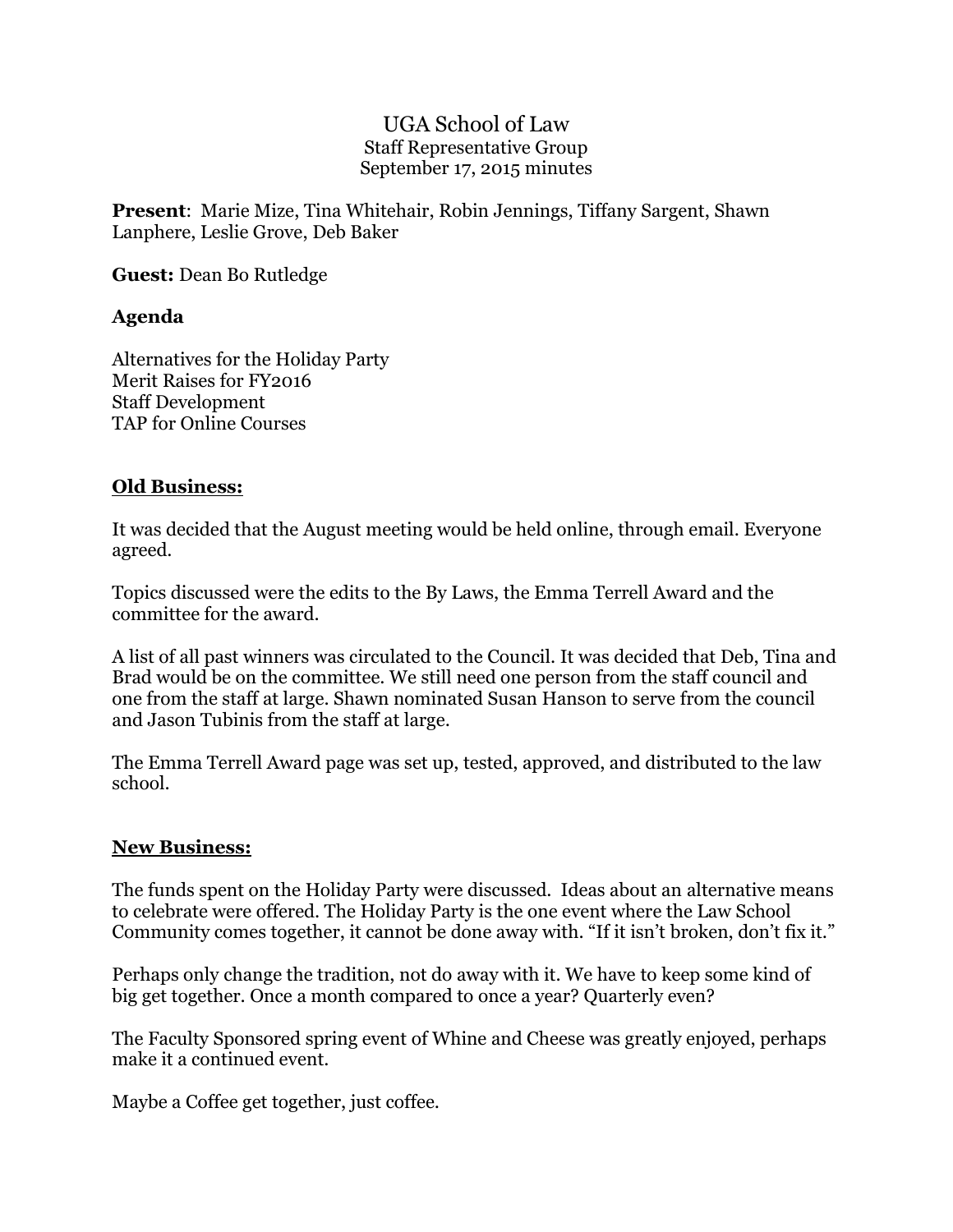### UGA School of Law Staff Representative Group September 17, 2015 minutes

**Present**: Marie Mize, Tina Whitehair, Robin Jennings, Tiffany Sargent, Shawn Lanphere, Leslie Grove, Deb Baker

**Guest:** Dean Bo Rutledge

# **Agenda**

Alternatives for the Holiday Party Merit Raises for FY2016 Staff Development TAP for Online Courses

### **Old Business:**

It was decided that the August meeting would be held online, through email. Everyone agreed.

Topics discussed were the edits to the By Laws, the Emma Terrell Award and the committee for the award.

A list of all past winners was circulated to the Council. It was decided that Deb, Tina and Brad would be on the committee. We still need one person from the staff council and one from the staff at large. Shawn nominated Susan Hanson to serve from the council and Jason Tubinis from the staff at large.

The Emma Terrell Award page was set up, tested, approved, and distributed to the law school.

#### **New Business:**

The funds spent on the Holiday Party were discussed. Ideas about an alternative means to celebrate were offered. The Holiday Party is the one event where the Law School Community comes together, it cannot be done away with. "If it isn't broken, don't fix it."

Perhaps only change the tradition, not do away with it. We have to keep some kind of big get together. Once a month compared to once a year? Quarterly even?

The Faculty Sponsored spring event of Whine and Cheese was greatly enjoyed, perhaps make it a continued event.

Maybe a Coffee get together, just coffee.